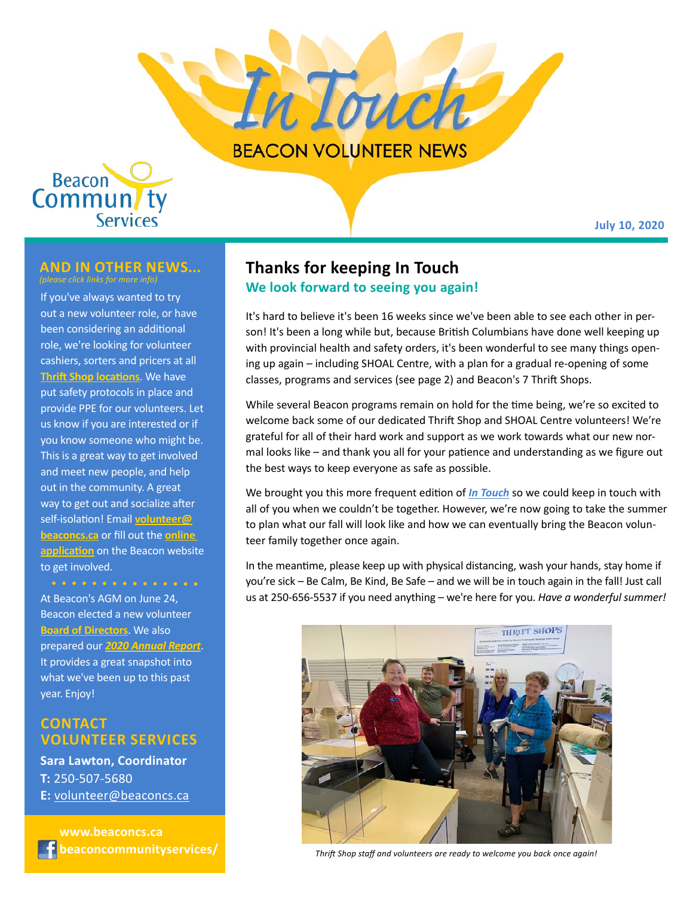



#### **July 10, 2020**

### **and in other news...**

If you've always wanted to try out a new volunteer role, or have been considering an additional role, we're looking for volunteer cashiers, sorters and pricers at all **[Thrift Shop locations](https://beaconcs.ca/thrift-shops/)**. We have put safety protocols in place and provide PPE for our volunteers. Let us know if you are interested or if you know someone who might be. This is a great way to get involved and meet new people, and help out in the community. A great way to get out and socialize after self-isolation! Email **[volunteer@](mailto:volunteer%40beaconcs.ca?subject=) [beaconcs.ca](mailto:volunteer%40beaconcs.ca?subject=)** or fill out the **[online](https://beaconcs.ca/join-our-team/online-application-form/)  [application](https://beaconcs.ca/join-our-team/online-application-form/)** on the Beacon website to get involved.

At Beacon's AGM on June 24, Beacon elected a new volunteer **[Board of Directors](https://beaconcs.ca/about-us/board-of-directors-2-2/)**. We also prepared our *[2020 Annual Report](https://beaconcs.ca/wp-content/uploads/2020/06/Beacon-Annual-Report-2020_final.pdf)*. It provides a great snapshot into what we've been up to this past year. Enjoy!

### **Contact VOLUNTEER SERVICES**

**Sara Lawton, Coordinator T:** 250-507-5680 **E:** [volunteer@beaconcs.ca](mailto:volunteer%40beaconcs.ca?subject=)

 **[www.beaconcs.ca](http://www.beaconcs.ca) [beaconcommunityservices/](http://www.facebook.com/beaconcommunityservices/)**

### **Thanks for keeping In Touch We look forward to seeing you again!**

It's hard to believe it's been 16 weeks since we've been able to see each other in person! It's been a long while but, because British Columbians have done well keeping up with provincial health and safety orders, it's been wonderful to see many things opening up again – including SHOAL Centre, with a plan for a gradual re-opening of some classes, programs and services (see page 2) and Beacon's 7 Thrift Shops.

While several Beacon programs remain on hold for the time being, we're so excited to welcome back some of our dedicated Thrift Shop and SHOAL Centre volunteers! We're grateful for all of their hard work and support as we work towards what our new normal looks like – and thank you all for your patience and understanding as we figure out the best ways to keep everyone as safe as possible.

We brought you this more frequent edition of *[In Touch](https://beaconcs.ca/about-us/news-publications/newsletters/)* so we could keep in touch with all of you when we couldn't be together. However, we're now going to take the summer to plan what our fall will look like and how we can eventually bring the Beacon volunteer family together once again.

In the meantime, please keep up with physical distancing, wash your hands, stay home if you're sick – Be Calm, Be Kind, Be Safe – and we will be in touch again in the fall! Just call us at 250-656-5537 if you need anything – we're here for you. *Have a wonderful summer!* 



*Thrift Shop staff and volunteers are ready to welcome you back once again!*